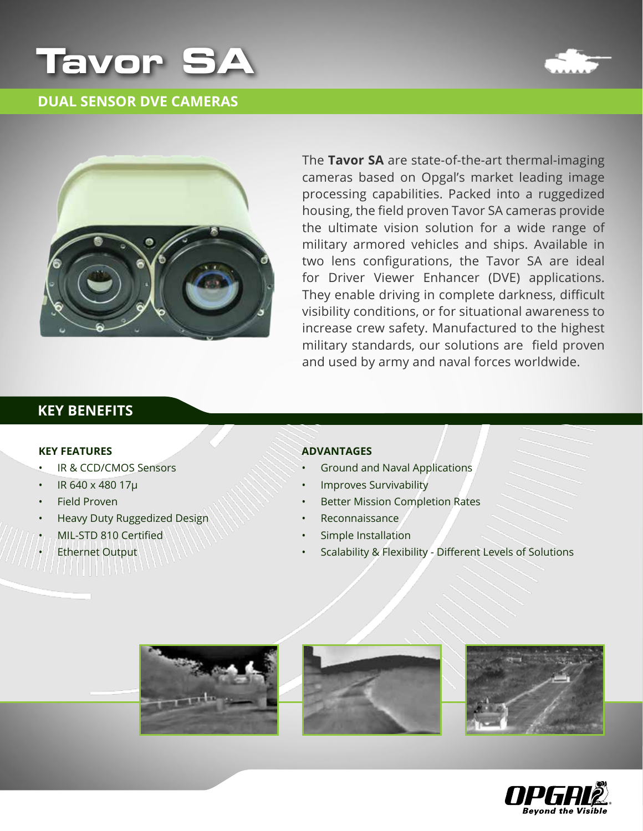

### **DUAL SENSOR DVE CAMERAS**





The Tavor SA are state-of-the-art thermal-imaging cameras based on Opgal's market leading image processing capabilities. Packed into a ruggedized housing, the field proven Tavor SA cameras provide the ultimate vision solution for a wide range of military armored vehicles and ships. Available in two lens configurations, the Tavor SA are ideal for Driver Viewer Enhancer (DVE) applications. They enable driving in complete darkness, difficult visibility conditions, or for situational awareness to increase crew safety. Manufactured to the highest military standards, our solutions are field proven and used by army and naval forces worldwide.

## **KEY BENEFITS**

#### **KEY FEATURES**

- IR & CCD/CMOS Sensors
- IR 640 x 480 17µ
- Field Proven
- Heavy Duty Ruggedized Design
- MIL-STD 810 Certified
- **Ethernet** Output

#### **Advantages**

- Ground and Naval Applications
- Improves Survivability
- **Better Mission Completion Rates**
- Reconnaissance
- Simple Installation
- Scalability & Flexibility Different Levels of Solutions